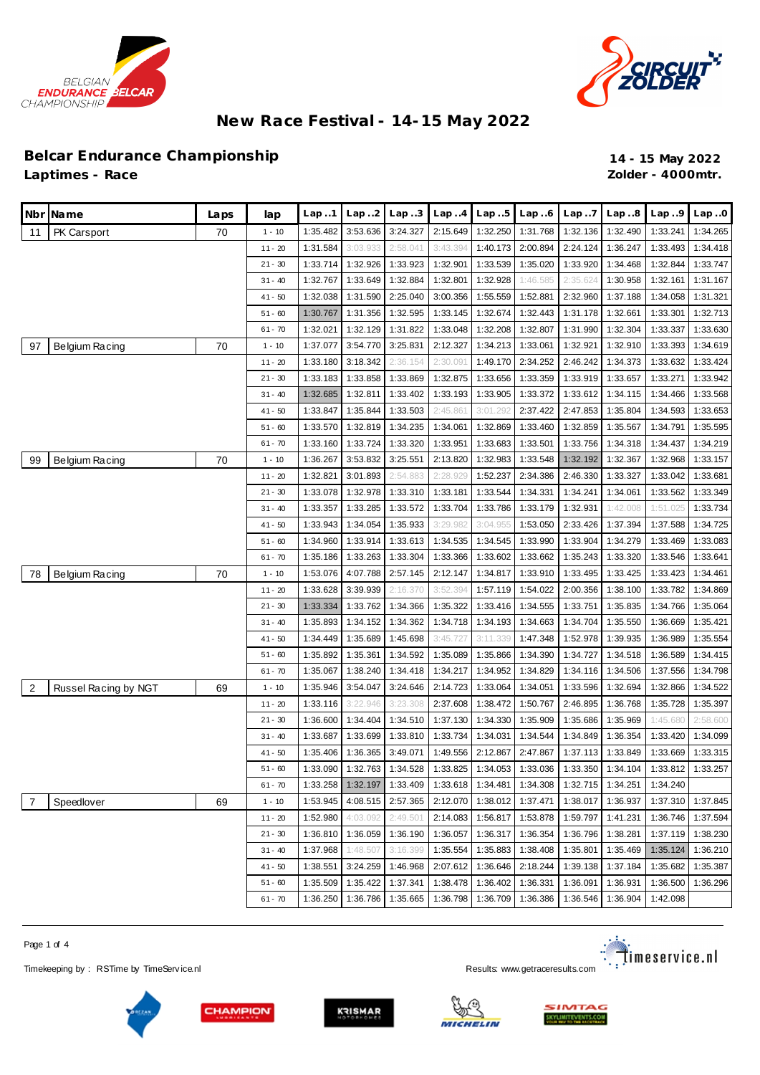



#### **Belcar Endurance Championship 14 - 15 May 2022 Laptimes - Race Zolder - 4000mtr.**

|                         | Nbr Name             | Laps | lap       | Lap.1    | Lap. .2  | Lap3     | Lap.4    | Lap.5    | Lap.6    | Lap.7    | Lap.8    | Lap.9    | Lap.0    |
|-------------------------|----------------------|------|-----------|----------|----------|----------|----------|----------|----------|----------|----------|----------|----------|
| 11                      | PK Carsport          | 70   | $1 - 10$  | 1:35.482 | 3:53.636 | 3:24.327 | 2:15.649 | 1:32.250 | 1:31.768 | 1:32.136 | 1:32.490 | 1:33.241 | 1:34.265 |
|                         |                      |      | $11 - 20$ | 1:31.584 | 3:03.933 | 2:58.041 | 3:43.394 | 1:40.173 | 2:00.894 | 2:24.124 | 1:36.247 | 1:33.493 | 1:34.418 |
|                         |                      |      | $21 - 30$ | 1:33.714 | 1:32.926 | 1:33.923 | 1:32.901 | 1:33.539 | 1:35.020 | 1:33.920 | 1:34.468 | 1:32.844 | 1:33.747 |
|                         |                      |      | $31 - 40$ | 1:32.767 | 1:33.649 | 1:32.884 | 1:32.801 | 1:32.928 | 1:46.585 | 2:35.624 | 1:30.958 | 1:32.161 | 1:31.167 |
|                         |                      |      | $41 - 50$ | 1:32.038 | 1:31.590 | 2:25.040 | 3:00.356 | 1:55.559 | 1:52.881 | 2:32.960 | 1:37.188 | 1:34.058 | 1:31.321 |
|                         |                      |      | $51 - 60$ | 1:30.767 | 1:31.356 | 1:32.595 | 1:33.145 | 1:32.674 | 1:32.443 | 1:31.178 | 1:32.661 | 1:33.301 | 1:32.713 |
|                         |                      |      | $61 - 70$ | 1:32.021 | 1:32.129 | 1:31.822 | 1:33.048 | 1:32.208 | 1:32.807 | 1:31.990 | 1:32.304 | 1:33.337 | 1:33.630 |
| 97                      | Belgium Racing       | 70   | $1 - 10$  | 1:37.077 | 3:54.770 | 3:25.831 | 2:12.327 | 1:34.213 | 1:33.061 | 1:32.921 | 1:32.910 | 1:33.393 | 1:34.619 |
|                         |                      |      | $11 - 20$ | 1:33.180 | 3:18.342 | 2:36.154 | 2:30.091 | 1:49.170 | 2:34.252 | 2:46.242 | 1:34.373 | 1:33.632 | 1:33.424 |
|                         |                      |      | $21 - 30$ | 1:33.183 | 1:33.858 | 1:33.869 | 1:32.875 | 1:33.656 | 1:33.359 | 1:33.919 | 1:33.657 | 1:33.271 | 1:33.942 |
|                         |                      |      | $31 - 40$ | 1:32.685 | 1:32.811 | 1:33.402 | 1:33.193 | 1:33.905 | 1:33.372 | 1:33.612 | 1:34.115 | 1:34.466 | 1:33.568 |
|                         |                      |      | $41 - 50$ | 1:33.847 | 1:35.844 | 1:33.503 | 2:45.861 | 3:01.292 | 2:37.422 | 2:47.853 | 1:35.804 | 1:34.593 | 1:33.653 |
|                         |                      |      | $51 - 60$ | 1:33.570 | 1:32.819 | 1:34.235 | 1:34.061 | 1:32.869 | 1:33.460 | 1:32.859 | 1:35.567 | 1:34.791 | 1:35.595 |
|                         |                      |      | $61 - 70$ | 1:33.160 | 1:33.724 | 1:33.320 | 1:33.951 | 1:33.683 | 1:33.501 | 1:33.756 | 1:34.318 | 1:34.437 | 1:34.219 |
| 99                      | Belgium Racing       | 70   | $1 - 10$  | 1:36.267 | 3:53.832 | 3:25.551 | 2:13.820 | 1:32.983 | 1:33.548 | 1:32.192 | 1:32.367 | 1:32.968 | 1:33.157 |
|                         |                      |      | $11 - 20$ | 1:32.821 | 3:01.893 | 2:54.883 | 2:28.929 | 1:52.237 | 2:34.386 | 2:46.330 | 1:33.327 | 1:33.042 | 1:33.681 |
|                         |                      |      | $21 - 30$ | 1:33.078 | 1:32.978 | 1:33.310 | 1:33.181 | 1:33.544 | 1:34.331 | 1:34.241 | 1:34.061 | 1:33.562 | 1:33.349 |
|                         |                      |      | $31 - 40$ | 1:33.357 | 1:33.285 | 1:33.572 | 1:33.704 | 1:33.786 | 1:33.179 | 1:32.931 | 1:42.008 | 1:51.025 | 1:33.734 |
|                         |                      |      | $41 - 50$ | 1:33.943 | 1:34.054 | 1:35.933 | 3:29.982 | 3:04.955 | 1:53.050 | 2:33.426 | 1:37.394 | 1:37.588 | 1:34.725 |
|                         |                      |      | $51 - 60$ | 1:34.960 | 1:33.914 | 1:33.613 | 1:34.535 | 1:34.545 | 1:33.990 | 1:33.904 | 1:34.279 | 1:33.469 | 1:33.083 |
|                         |                      |      | $61 - 70$ | 1:35.186 | 1:33.263 | 1:33.304 | 1:33.366 | 1:33.602 | 1:33.662 | 1:35.243 | 1:33.320 | 1:33.546 | 1:33.641 |
| 78                      | Belgium Racing       | 70   | $1 - 10$  | 1:53.076 | 4:07.788 | 2:57.145 | 2:12.147 | 1:34.817 | 1:33.910 | 1:33.495 | 1:33.425 | 1:33.423 | 1:34.461 |
|                         |                      |      | $11 - 20$ | 1:33.628 | 3:39.939 | 2:16.370 | 3:52.394 | 1:57.119 | 1:54.022 | 2:00.356 | 1:38.100 | 1:33.782 | 1:34.869 |
|                         |                      |      | $21 - 30$ | 1:33.334 | 1:33.762 | 1:34.366 | 1:35.322 | 1:33.416 | 1:34.555 | 1:33.751 | 1:35.835 | 1:34.766 | 1:35.064 |
|                         |                      |      | $31 - 40$ | 1:35.893 | 1:34.152 | 1:34.362 | 1:34.718 | 1:34.193 | 1:34.663 | 1:34.704 | 1:35.550 | 1:36.669 | 1:35.421 |
|                         |                      |      | $41 - 50$ | 1:34.449 | 1:35.689 | 1:45.698 | 3:45.727 | 3:11.339 | 1:47.348 | 1:52.978 | 1:39.935 | 1:36.989 | 1:35.554 |
|                         |                      |      | $51 - 60$ | 1:35.892 | 1:35.361 | 1:34.592 | 1:35.089 | 1:35.866 | 1:34.390 | 1:34.727 | 1:34.518 | 1:36.589 | 1:34.415 |
|                         |                      |      | $61 - 70$ | 1:35.067 | 1:38.240 | 1:34.418 | 1:34.217 | 1:34.952 | 1:34.829 | 1:34.116 | 1:34.506 | 1:37.556 | 1:34.798 |
| $\overline{\mathbf{c}}$ | Russel Racing by NGT | 69   | $1 - 10$  | 1:35.946 | 3:54.047 | 3:24.646 | 2:14.723 | 1:33.064 | 1:34.051 | 1:33.596 | 1:32.694 | 1:32.866 | 1:34.522 |
|                         |                      |      | $11 - 20$ | 1:33.116 | 3:22.946 | 3:23.308 | 2:37.608 | 1:38.472 | 1:50.767 | 2:46.895 | 1:36.768 | 1:35.728 | 1:35.397 |
|                         |                      |      | $21 - 30$ | 1:36.600 | 1:34.404 | 1:34.510 | 1:37.130 | 1:34.330 | 1:35.909 | 1:35.686 | 1:35.969 | 1:45.680 | 2:58.600 |
|                         |                      |      | $31 - 40$ | 1:33.687 | 1:33.699 | 1:33.810 | 1:33.734 | 1:34.031 | 1:34.544 | 1:34.849 | 1:36.354 | 1:33.420 | 1:34.099 |
|                         |                      |      | $41 - 50$ | 1:35.406 | 1:36.365 | 3:49.071 | 1:49.556 | 2:12.867 | 2:47.867 | 1:37.113 | 1:33.849 | 1:33.669 | 1:33.315 |
|                         |                      |      | $51 - 60$ | 1:33.090 | 1:32.763 | 1:34.528 | 1:33.825 | 1:34.053 | 1:33.036 | 1:33.350 | 1:34.104 | 1:33.812 | 1:33.257 |
|                         |                      |      | $61 - 70$ | 1:33.258 | 1:32.197 | 1:33.409 | 1:33.618 | 1:34.481 | 1:34.308 | 1:32.715 | 1:34.251 | 1:34.240 |          |
| 7                       | Speedlover           | 69   | $1 - 10$  | 1:53.945 | 4:08.515 | 2:57.365 | 2:12.070 | 1:38.012 | 1:37.471 | 1:38.017 | 1:36.937 | 1:37.310 | 1:37.845 |
|                         |                      |      | $11 - 20$ | 1:52.980 | 4:03.092 | 2:49.501 | 2:14.083 | 1:56.817 | 1:53.878 | 1:59.797 | 1:41.231 | 1:36.746 | 1:37.594 |
|                         |                      |      | $21 - 30$ | 1:36.810 | 1:36.059 | 1:36.190 | 1:36.057 | 1:36.317 | 1:36.354 | 1:36.796 | 1:38.281 | 1:37.119 | 1:38.230 |
|                         |                      |      | $31 - 40$ | 1:37.968 | 1:48.507 | 3:16.399 | 1:35.554 | 1:35.883 | 1:38.408 | 1:35.801 | 1:35.469 | 1:35.124 | 1:36.210 |
|                         |                      |      | $41 - 50$ | 1:38.551 | 3:24.259 | 1:46.968 | 2:07.612 | 1:36.646 | 2:18.244 | 1:39.138 | 1:37.184 | 1:35.682 | 1:35.387 |
|                         |                      |      | $51 - 60$ | 1:35.509 | 1:35.422 | 1:37.341 | 1:38.478 | 1:36.402 | 1:36.331 | 1:36.091 | 1:36.931 | 1:36.500 | 1:36.296 |
|                         |                      |      | $61 - 70$ | 1:36.250 | 1:36.786 | 1:35.665 | 1:36.798 | 1:36.709 | 1:36.386 | 1:36.546 | 1:36.904 | 1:42.098 |          |

Page 1 of 4

Timekeeping by : RSTime by TimeServ ice.nl Results: <www.getraceresults.com>











<u>: T</u>imeservice.nl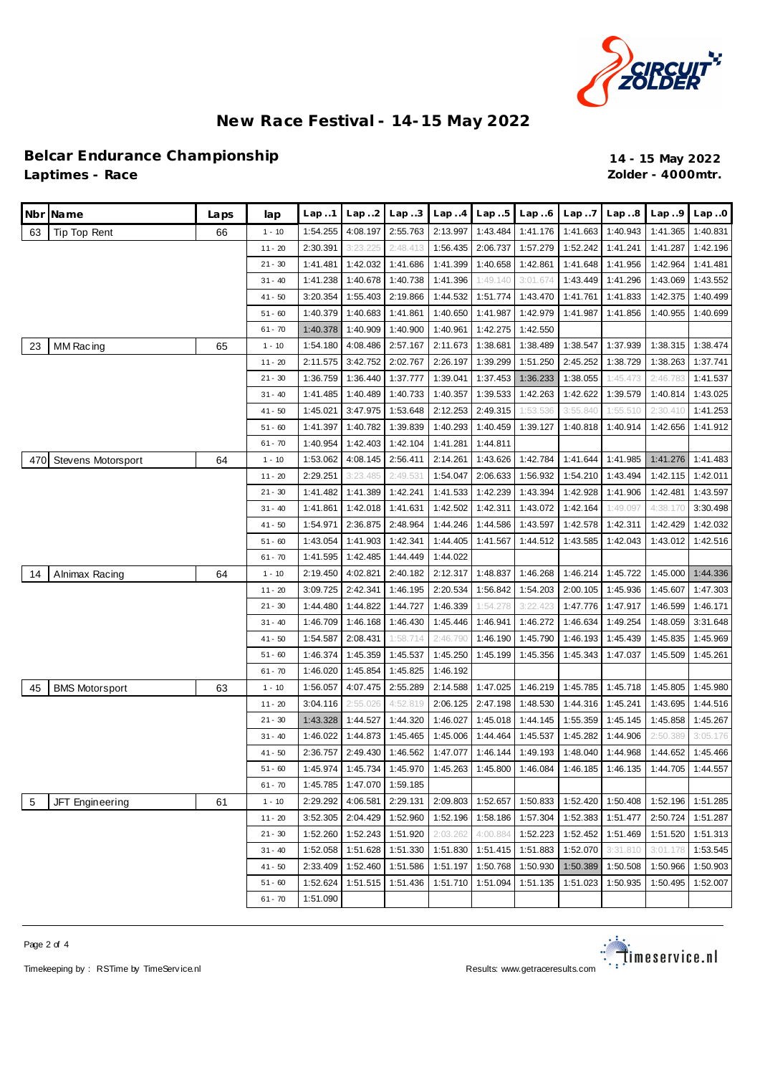

#### **Belcar Endurance Championship 14 - 15 May 2022 Laptimes - Race Zolder - 4000mtr.**

|     | Nbr Name                  | Laps | lap       | Lap.1    | Lap.2    | Lap.3    | Lap.4    | Lap.5    | Lap.6    | Lap.7    | Lap.8    | Lap.9    | Lap.0    |
|-----|---------------------------|------|-----------|----------|----------|----------|----------|----------|----------|----------|----------|----------|----------|
| 63  | Tip Top Rent              | 66   | $1 - 10$  | 1:54.255 | 4:08.197 | 2:55.763 | 2:13.997 | 1:43.484 | 1:41.176 | 1:41.663 | 1:40.943 | 1:41.365 | 1:40.831 |
|     |                           |      | $11 - 20$ | 2:30.391 | 3:23.225 | 2:48.413 | 1:56.435 | 2:06.737 | 1:57.279 | 1:52.242 | 1:41.241 | 1:41.287 | 1:42.196 |
|     |                           |      | $21 - 30$ | 1:41.481 | 1:42.032 | 1:41.686 | 1:41.399 | 1:40.658 | 1:42.861 | 1:41.648 | 1:41.956 | 1:42.964 | 1:41.481 |
|     |                           |      | $31 - 40$ | 1:41.238 | 1:40.678 | 1:40.738 | 1:41.396 | 1:49.140 | 3:01.674 | 1:43.449 | 1:41.296 | 1:43.069 | 1:43.552 |
|     |                           |      | $41 - 50$ | 3:20.354 | 1:55.403 | 2:19.866 | 1:44.532 | 1:51.774 | 1:43.470 | 1:41.761 | 1:41.833 | 1:42.375 | 1:40.499 |
|     |                           |      | $51 - 60$ | 1:40.379 | 1:40.683 | 1:41.861 | 1:40.650 | 1:41.987 | 1:42.979 | 1:41.987 | 1:41.856 | 1:40.955 | 1:40.699 |
|     |                           |      | $61 - 70$ | 1:40.378 | 1:40.909 | 1:40.900 | 1:40.961 | 1:42.275 | 1:42.550 |          |          |          |          |
| 23  | MM Racing                 | 65   | $1 - 10$  | 1:54.180 | 4:08.486 | 2:57.167 | 2:11.673 | 1:38.681 | 1:38.489 | 1:38.547 | 1:37.939 | 1:38.315 | 1:38.474 |
|     |                           |      | $11 - 20$ | 2:11.575 | 3:42.752 | 2:02.767 | 2:26.197 | 1:39.299 | 1:51.250 | 2:45.252 | 1:38.729 | 1:38.263 | 1:37.741 |
|     |                           |      | $21 - 30$ | 1:36.759 | 1:36.440 | 1:37.777 | 1:39.041 | 1:37.453 | 1:36.233 | 1:38.055 | 1:45.473 | 2:46.783 | 1:41.537 |
|     |                           |      | $31 - 40$ | 1:41.485 | 1:40.489 | 1:40.733 | 1:40.357 | 1:39.533 | 1:42.263 | 1:42.622 | 1:39.579 | 1:40.814 | 1:43.025 |
|     |                           |      | $41 - 50$ | 1:45.021 | 3:47.975 | 1:53.648 | 2:12.253 | 2:49.315 | 1:53.536 | 3:55.840 | 1:55.510 | 2:30.410 | 1:41.253 |
|     |                           |      | $51 - 60$ | 1:41.397 | 1:40.782 | 1:39.839 | 1:40.293 | 1:40.459 | 1:39.127 | 1:40.818 | 1:40.914 | 1:42.656 | 1:41.912 |
|     |                           |      | $61 - 70$ | 1:40.954 | 1:42.403 | 1:42.104 | 1:41.281 | 1:44.811 |          |          |          |          |          |
| 470 | <b>Stevens Motorsport</b> | 64   | $1 - 10$  | 1:53.062 | 4:08.145 | 2:56.411 | 2:14.261 | 1:43.626 | 1:42.784 | 1:41.644 | 1:41.985 | 1:41.276 | 1:41.483 |
|     |                           |      | $11 - 20$ | 2:29.251 | 3:23.485 | 2:49.531 | 1:54.047 | 2:06.633 | 1:56.932 | 1:54.210 | 1:43.494 | 1:42.115 | 1:42.011 |
|     |                           |      | $21 - 30$ | 1:41.482 | 1:41.389 | 1:42.241 | 1:41.533 | 1:42.239 | 1:43.394 | 1:42.928 | 1:41.906 | 1:42.481 | 1:43.597 |
|     |                           |      | $31 - 40$ | 1:41.861 | 1:42.018 | 1:41.631 | 1:42.502 | 1:42.311 | 1:43.072 | 1:42.164 | 1:49.097 | 4:38.170 | 3:30.498 |
|     |                           |      | $41 - 50$ | 1:54.971 | 2:36.875 | 2:48.964 | 1:44.246 | 1:44.586 | 1:43.597 | 1:42.578 | 1:42.311 | 1:42.429 | 1:42.032 |
|     |                           |      | $51 - 60$ | 1:43.054 | 1:41.903 | 1:42.341 | 1:44.405 | 1:41.567 | 1:44.512 | 1:43.585 | 1:42.043 | 1:43.012 | 1:42.516 |
|     |                           |      | $61 - 70$ | 1:41.595 | 1:42.485 | 1:44.449 | 1:44.022 |          |          |          |          |          |          |
| 14  | Alnimax Racing            | 64   | $1 - 10$  | 2:19.450 | 4:02.821 | 2:40.182 | 2:12.317 | 1:48.837 | 1:46.268 | 1:46.214 | 1:45.722 | 1:45.000 | 1:44.336 |
|     |                           |      | $11 - 20$ | 3:09.725 | 2:42.341 | 1:46.195 | 2:20.534 | 1:56.842 | 1:54.203 | 2:00.105 | 1:45.936 | 1:45.607 | 1:47.303 |
|     |                           |      | $21 - 30$ | 1:44.480 | 1:44.822 | 1:44.727 | 1:46.339 | 1:54.278 | 3:22.423 | 1:47.776 | 1:47.917 | 1:46.599 | 1:46.171 |
|     |                           |      | $31 - 40$ | 1:46.709 | 1:46.168 | 1:46.430 | 1:45.446 | 1:46.941 | 1:46.272 | 1:46.634 | 1:49.254 | 1:48.059 | 3:31.648 |
|     |                           |      | $41 - 50$ | 1:54.587 | 2:08.431 | 1:58.714 | 2:46.790 | 1:46.190 | 1:45.790 | 1:46.193 | 1:45.439 | 1:45.835 | 1:45.969 |
|     |                           |      | $51 - 60$ | 1:46.374 | 1:45.359 | 1:45.537 | 1:45.250 | 1:45.199 | 1:45.356 | 1:45.343 | 1:47.037 | 1:45.509 | 1:45.261 |
|     |                           |      | $61 - 70$ | 1:46.020 | 1:45.854 | 1:45.825 | 1:46.192 |          |          |          |          |          |          |
| 45  | <b>BMS Motorsport</b>     | 63   | $1 - 10$  | 1:56.057 | 4:07.475 | 2:55.289 | 2:14.588 | 1:47.025 | 1:46.219 | 1:45.785 | 1:45.718 | 1:45.805 | 1:45.980 |
|     |                           |      | $11 - 20$ | 3:04.116 | 2:55.026 | 4:52.819 | 2:06.125 | 2:47.198 | 1:48.530 | 1:44.316 | 1:45.241 | 1:43.695 | 1:44.516 |
|     |                           |      | $21 - 30$ | 1:43.328 | 1:44.527 | 1:44.320 | 1:46.027 | 1:45.018 | 1:44.145 | 1:55.359 | 1:45.145 | 1:45.858 | 1:45.267 |
|     |                           |      | $31 - 40$ | 1:46.022 | 1:44.873 | 1:45.465 | 1:45.006 | 1:44.464 | 1:45.537 | 1:45.282 | 1:44.906 | 2:50.389 | 3:05.176 |
|     |                           |      | $41 - 50$ | 2:36.757 | 2:49.430 | 1:46.562 | 1:47.077 | 1:46.144 | 1:49.193 | 1:48.040 | 1:44.968 | 1:44.652 | 1:45.466 |
|     |                           |      | $51 - 60$ | 1:45.974 | 1:45.734 | 1:45.970 | 1:45.263 | 1:45.800 | 1:46.084 | 1:46.185 | 1:46.135 | 1:44.705 | 1:44.557 |
|     |                           |      | $61 - 70$ | 1:45.785 | 1:47.070 | 1:59.185 |          |          |          |          |          |          |          |
| 5   | JFT Engineering           | 61   | $1 - 10$  | 2:29.292 | 4:06.581 | 2:29.131 | 2:09.803 | 1:52.657 | 1:50.833 | 1:52.420 | 1:50.408 | 1:52.196 | 1:51.285 |
|     |                           |      | $11 - 20$ | 3:52.305 | 2:04.429 | 1:52.960 | 1:52.196 | 1:58.186 | 1:57.304 | 1:52.383 | 1:51.477 | 2:50.724 | 1:51.287 |
|     |                           |      | $21 - 30$ | 1:52.260 | 1:52.243 | 1:51.920 | 2:03.262 | 4:00.884 | 1:52.223 | 1:52.452 | 1:51.469 | 1:51.520 | 1:51.313 |
|     |                           |      | $31 - 40$ | 1:52.058 | 1:51.628 | 1:51.330 | 1:51.830 | 1:51.415 | 1:51.883 | 1:52.070 | 3:31.810 | 3:01.178 | 1:53.545 |
|     |                           |      | $41 - 50$ | 2:33.409 | 1:52.460 | 1:51.586 | 1:51.197 | 1:50.768 | 1:50.930 | 1:50.389 | 1:50.508 | 1:50.966 | 1:50.903 |
|     |                           |      | $51 - 60$ | 1:52.624 | 1:51.515 | 1:51.436 | 1:51.710 | 1:51.094 | 1:51.135 | 1:51.023 | 1:50.935 | 1:50.495 | 1:52.007 |
|     |                           |      | $61 - 70$ | 1:51.090 |          |          |          |          |          |          |          |          |          |

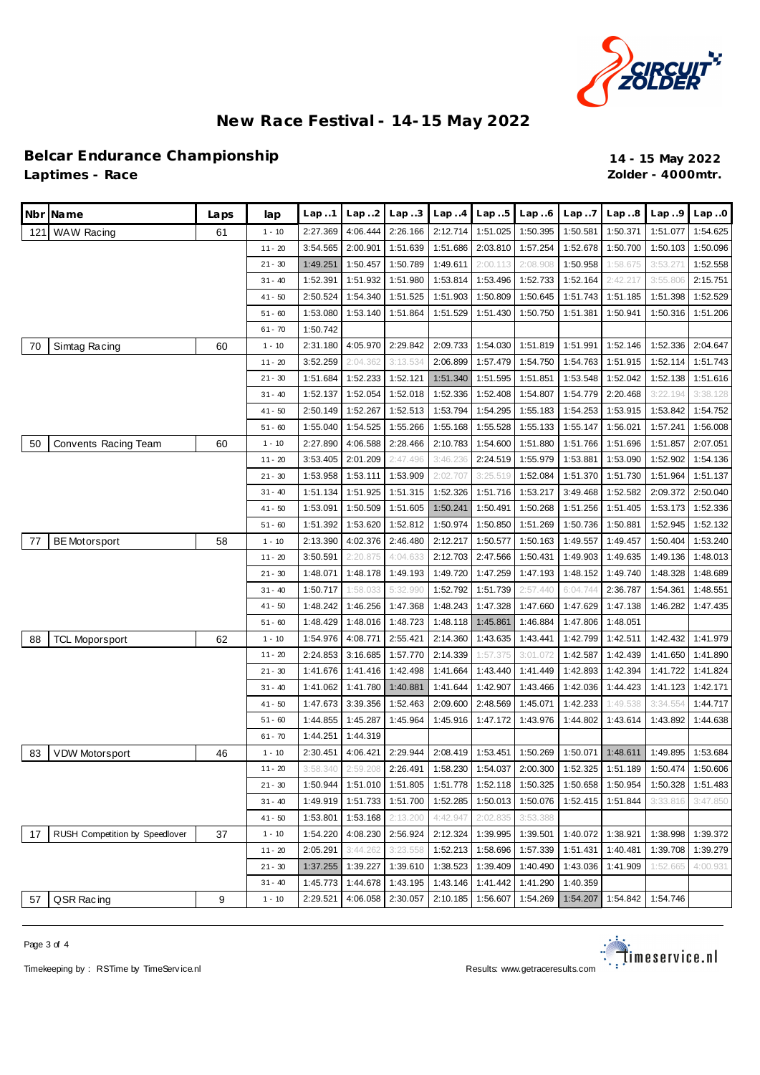

#### **Belcar Endurance Championship 14 - 15 May 2022 Laptimes - Race Zolder - 4000mtr.**

|     | Nbr Name                       | Laps | lap       | Lap.1    | Lap. .2  | Lap.3    | Lap.4    | Lap.5             | Lap.6    | Lap.7    | Lap.8    | Lap.9    | Lap.0    |
|-----|--------------------------------|------|-----------|----------|----------|----------|----------|-------------------|----------|----------|----------|----------|----------|
| 121 | <b>WAW Racing</b>              | 61   | $1 - 10$  | 2:27.369 | 4:06.444 | 2:26.166 | 2:12.714 | 1:51.025          | 1:50.395 | 1:50.581 | 1:50.371 | 1:51.077 | 1:54.625 |
|     |                                |      | $11 - 20$ | 3:54.565 | 2:00.901 | 1:51.639 | 1:51.686 | 2:03.810          | 1:57.254 | 1:52.678 | 1:50.700 | 1:50.103 | 1:50.096 |
|     |                                |      | $21 - 30$ | 1:49.251 | 1:50.457 | 1:50.789 | 1:49.611 | 2:00.113          | 2:08.908 | 1:50.958 | 1:58.675 | 3:53.271 | 1:52.558 |
|     |                                |      | $31 - 40$ | 1:52.391 | 1:51.932 | 1:51.980 | 1:53.814 | 1:53.496          | 1:52.733 | 1:52.164 | 2:42.217 | 3:55.806 | 2:15.751 |
|     |                                |      | $41 - 50$ | 2:50.524 | 1:54.340 | 1:51.525 | 1:51.903 | 1:50.809          | 1:50.645 | 1:51.743 | 1:51.185 | 1:51.398 | 1:52.529 |
|     |                                |      | $51 - 60$ | 1:53.080 | 1:53.140 | 1:51.864 | 1:51.529 | 1:51.430          | 1:50.750 | 1:51.381 | 1:50.941 | 1:50.316 | 1:51.206 |
|     |                                |      | $61 - 70$ | 1:50.742 |          |          |          |                   |          |          |          |          |          |
| 70  | Simtag Racing                  | 60   | $1 - 10$  | 2:31.180 | 4:05.970 | 2:29.842 | 2:09.733 | 1:54.030          | 1:51.819 | 1:51.991 | 1:52.146 | 1:52.336 | 2:04.647 |
|     |                                |      | $11 - 20$ | 3:52.259 | 2:04.362 | 3:13.534 | 2:06.899 | 1:57.479          | 1:54.750 | 1:54.763 | 1:51.915 | 1:52.114 | 1:51.743 |
|     |                                |      | $21 - 30$ | 1:51.684 | 1:52.233 | 1:52.121 | 1:51.340 | 1:51.595          | 1:51.851 | 1:53.548 | 1:52.042 | 1:52.138 | 1:51.616 |
|     |                                |      | $31 - 40$ | 1:52.137 | 1:52.054 | 1:52.018 | 1:52.336 | 1:52.408          | 1:54.807 | 1:54.779 | 2:20.468 | 3:22.194 | 3:38.128 |
|     |                                |      | $41 - 50$ | 2:50.149 | 1:52.267 | 1:52.513 | 1:53.794 | 1:54.295          | 1:55.183 | 1:54.253 | 1:53.915 | 1:53.842 | 1:54.752 |
|     |                                |      | $51 - 60$ | 1:55.040 | 1:54.525 | 1:55.266 | 1:55.168 | 1:55.528          | 1:55.133 | 1:55.147 | 1:56.021 | 1:57.241 | 1:56.008 |
| 50  | Convents Racing Team           | 60   | $1 - 10$  | 2:27.890 | 4:06.588 | 2:28.466 | 2:10.783 | 1:54.600          | 1:51.880 | 1:51.766 | 1:51.696 | 1:51.857 | 2:07.051 |
|     |                                |      | $11 - 20$ | 3:53.405 | 2:01.209 | 2:47.496 | 3:46.236 | 2:24.519          | 1:55.979 | 1:53.881 | 1:53.090 | 1:52.902 | 1:54.136 |
|     |                                |      | $21 - 30$ | 1:53.958 | 1:53.111 | 1:53.909 | 2:02.707 | 3:25.519          | 1:52.084 | 1:51.370 | 1:51.730 | 1:51.964 | 1:51.137 |
|     |                                |      | $31 - 40$ | 1:51.134 | 1:51.925 | 1:51.315 | 1:52.326 | 1:51.716          | 1:53.217 | 3:49.468 | 1:52.582 | 2:09.372 | 2:50.040 |
|     |                                |      | $41 - 50$ | 1:53.091 | 1:50.509 | 1:51.605 | 1:50.241 | 1:50.491          | 1:50.268 | 1:51.256 | 1:51.405 | 1:53.173 | 1:52.336 |
|     |                                |      | $51 - 60$ | 1:51.392 | 1:53.620 | 1:52.812 | 1:50.974 | 1:50.850          | 1:51.269 | 1:50.736 | 1:50.881 | 1:52.945 | 1:52.132 |
| 77  | <b>BE Motorsport</b>           | 58   | $1 - 10$  | 2:13.390 | 4:02.376 | 2:46.480 | 2:12.217 | 1:50.577          | 1:50.163 | 1:49.557 | 1:49.457 | 1:50.404 | 1:53.240 |
|     |                                |      | $11 - 20$ | 3:50.591 | 2:20.875 | 4:04.633 | 2:12.703 | 2:47.566          | 1:50.431 | 1:49.903 | 1:49.635 | 1:49.136 | 1:48.013 |
|     |                                |      | $21 - 30$ | 1:48.071 | 1:48.178 | 1:49.193 | 1:49.720 | 1:47.259          | 1:47.193 | 1:48.152 | 1:49.740 | 1:48.328 | 1:48.689 |
|     |                                |      | $31 - 40$ | 1:50.717 | 1:58.033 | 5:32.990 | 1:52.792 | 1:51.739          | 2:57.440 | 6:04.744 | 2:36.787 | 1:54.361 | 1:48.551 |
|     |                                |      | $41 - 50$ | 1:48.242 | 1:46.256 | 1:47.368 | 1:48.243 | 1:47.328          | 1:47.660 | 1:47.629 | 1:47.138 | 1:46.282 | 1:47.435 |
|     |                                |      | $51 - 60$ | 1:48.429 | 1:48.016 | 1:48.723 | 1:48.118 | 1:45.861          | 1:46.884 | 1:47.806 | 1:48.051 |          |          |
| 88  | <b>TCL Moporsport</b>          | 62   | $1 - 10$  | 1:54.976 | 4:08.771 | 2:55.421 | 2:14.360 | 1:43.635          | 1:43.441 | 1:42.799 | 1:42.511 | 1:42.432 | 1:41.979 |
|     |                                |      | $11 - 20$ | 2:24.853 | 3:16.685 | 1:57.770 | 2:14.339 | 1:57.375          | 3:01.072 | 1:42.587 | 1:42.439 | 1:41.650 | 1:41.890 |
|     |                                |      | $21 - 30$ | 1:41.676 | 1:41.416 | 1:42.498 | 1:41.664 | 1:43.440          | 1:41.449 | 1:42.893 | 1:42.394 | 1:41.722 | 1:41.824 |
|     |                                |      | $31 - 40$ | 1:41.062 | 1:41.780 | 1:40.881 | 1:41.644 | 1:42.907          | 1:43.466 | 1:42.036 | 1:44.423 | 1:41.123 | 1:42.171 |
|     |                                |      | $41 - 50$ | 1:47.673 | 3:39.356 | 1:52.463 | 2:09.600 | 2:48.569          | 1:45.071 | 1:42.233 | 1:49.538 | 3:34.554 | 1:44.717 |
|     |                                |      | $51 - 60$ | 1:44.855 | 1:45.287 | 1:45.964 | 1:45.916 | 1:47.172          | 1:43.976 | 1:44.802 | 1:43.614 | 1:43.892 | 1:44.638 |
|     |                                |      | $61 - 70$ | 1:44.251 | 1:44.319 |          |          |                   |          |          |          |          |          |
| 83  | <b>VDW Motorsport</b>          | 46   | $1 - 10$  | 2:30.451 | 4:06.421 | 2:29.944 | 2:08.419 | 1:53.451          | 1:50.269 | 1:50.071 | 1:48.611 | 1:49.895 | 1:53.684 |
|     |                                |      | $11 - 20$ | 3:58.340 | 2:59.208 | 2:26.491 |          | 1:58.230 1:54.037 | 2:00.300 | 1:52.325 | 1:51.189 | 1:50.474 | 1:50.606 |
|     |                                |      | $21 - 30$ | 1:50.944 | 1:51.010 | 1:51.805 | 1:51.778 | 1:52.118          | 1:50.325 | 1:50.658 | 1:50.954 | 1:50.328 | 1:51.483 |
|     |                                |      | $31 - 40$ | 1:49.919 | 1:51.733 | 1:51.700 | 1:52.285 | 1:50.013          | 1:50.076 | 1:52.415 | 1:51.844 | 3:33.816 | 3:47.850 |
|     |                                |      | $41 - 50$ | 1:53.801 | 1:53.168 | 2:13.200 | 4:42.947 | 2:02.835          | 3:53.388 |          |          |          |          |
| 17  | RUSH Competition by Speedlover | 37   | $1 - 10$  | 1:54.220 | 4:08.230 | 2:56.924 | 2:12.324 | 1:39.995          | 1:39.501 | 1:40.072 | 1:38.921 | 1:38.998 | 1:39.372 |
|     |                                |      | $11 - 20$ | 2:05.291 | 3:44.262 | 3:23.558 | 1:52.213 | 1:58.696          | 1:57.339 | 1:51.431 | 1:40.481 | 1:39.708 | 1:39.279 |
|     |                                |      | $21 - 30$ | 1:37.255 | 1:39.227 | 1:39.610 | 1:38.523 | 1:39.409          | 1:40.490 | 1:43.036 | 1:41.909 | 1:52.665 | 4:00.931 |
|     |                                |      | $31 - 40$ | 1:45.773 | 1:44.678 | 1:43.195 | 1:43.146 | 1:41.442          | 1:41.290 | 1:40.359 |          |          |          |
| 57  | QSR Racing                     | 9    | $1 - 10$  | 2:29.521 | 4:06.058 | 2:30.057 | 2:10.185 | 1:56.607          | 1:54.269 | 1:54.207 | 1:54.842 | 1:54.746 |          |

Page 3 of 4



Timekeeping by : RSTime by TimeService.nl **Results:** Www.getraceresults.com